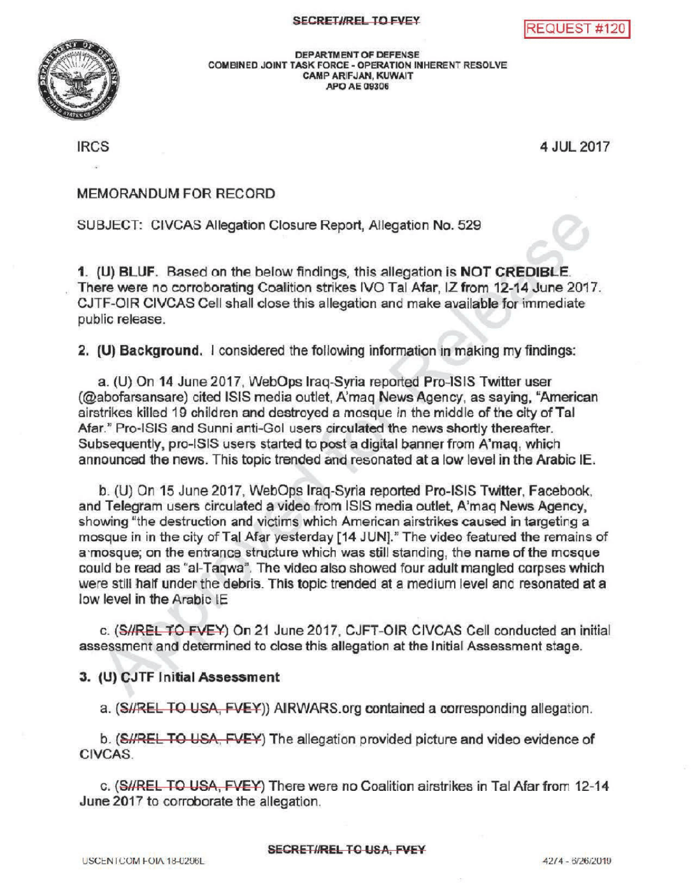

DEPARTMENT OF DEFENSE COMBINED JOINT TASK FORCE - OPERATION INHERENT RESOLVE **CAMP ARIFJAN, KUWAIT** APO AE 09306

IRCS <sup>4</sup> JUL 2017

## MEMORANDUM FOR RECORD

SUBJECT: CIVCAS Allegation Closure Report, Allegation No. 529

1. (U) BLUF. Based on the below findings, this allegation is NOT CREDIBLE. There were no corroborating Coalition strikes IVO Tal Afar, IZ from 12-14 June 2017. CJTF-OIR CIVCAS Cell shall close this allegation and make available for immediate public release.

2. (U) Background. I considered the following information in making my findings:

a. (U) On 14 June 2017, WebOps Iraq-Syria reported Pro-ISIS Twitter user (@abofarsansare) cited ISIS media outlet, A'maq NewsAgency, as saying, " American airstrikes killed 19 children and destroyed a mosque in the middle of the city of Tal Afar." Pro-ISIS and Sunni anti-Gol users circulated the news shortly thereafter. Subsequently, pro-ISIS users started to post a digital banner from A'mag, which announced the news. This topic trended and resonatedat a low level in the Arabic IE.

b. (U) On 15 June 2017, WebOps Iraq-Syria reported Pro-ISIS Twitter, Facebook, and Telegram users circulated a video from ISIS media outlet, A'maq News Agency, showing "the destruction and victims which American airstrikes caused in targeting a mosque in in the city of Tal Afar yesterday [14 JUN]." The video featured the remains of a mosque; on the entrance structure which was still standing, the name of the mosque could be read as "al-Taqwa". The video also showed four adult mangled corpses which were still half under the debris. This topic trended at a medium level and resonated at a low level in the Arabic IE

c. (S//REL TO FVEY) On 21 June 2017, CJFT-OIR CIVCAS Cell conducted an initial assessment and determined to close this allegation at the Initial Assessment stage.

## 3. (U) CJTF Initial Assessment

a. (SHREL TO USA, FVEY)) AIRWARS.org contained a corresponding allegation.

b. (SHREL TO USA, FVEY) The allegation provided picture and video evidence of CIVCAS

c. (SHREL TO USA, FVEY) There were no Coalition airstrikes in Tal Afar from 12-14 June 2017 to corroborate the allegation.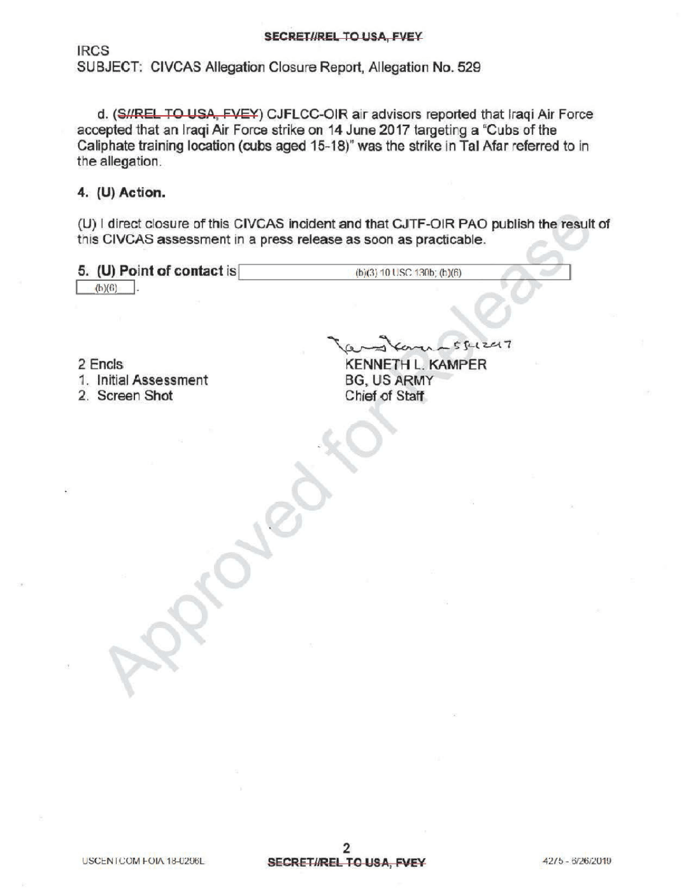IRCS SUBJECT: CIVCAS Allegation Closure Report, Allegation No. 529

d. (S//REL TO USA, FVEY) CJFLCC-OIR air advisors reported that Iraqi Air Force accepted that an Iraqi Air Force strike on 14 June 2017 targeting a "Cubs of the Caliphate training location (cubs aged 15-18)" was the strike in Tal Afar referred to in the allegation.

## 4. (U) Action.

(U) I direct closure of this CIVCAS incident and that CJTF-OIR PAO publish the result of this CIVCAS assessment in a press release as soon as practicable.

| 5. (U) Point of contact is | $(b)(3) 10$ USC 130b; $(b)(6)$ |
|----------------------------|--------------------------------|
| (b)(6)                     |                                |
|                            |                                |
|                            | $60 - 502217$                  |
| 2 Encls                    | <b>KENNETH L. KAMPER</b>       |
| 1. Initial Assessment      | <b>BG, US ARMY</b>             |
| 2. Screen Shot             | Chief of Staff                 |
|                            |                                |
|                            |                                |
|                            |                                |
|                            |                                |
|                            |                                |
|                            |                                |
|                            |                                |

 $\mathscr{C}_{\mathcal{S}}$